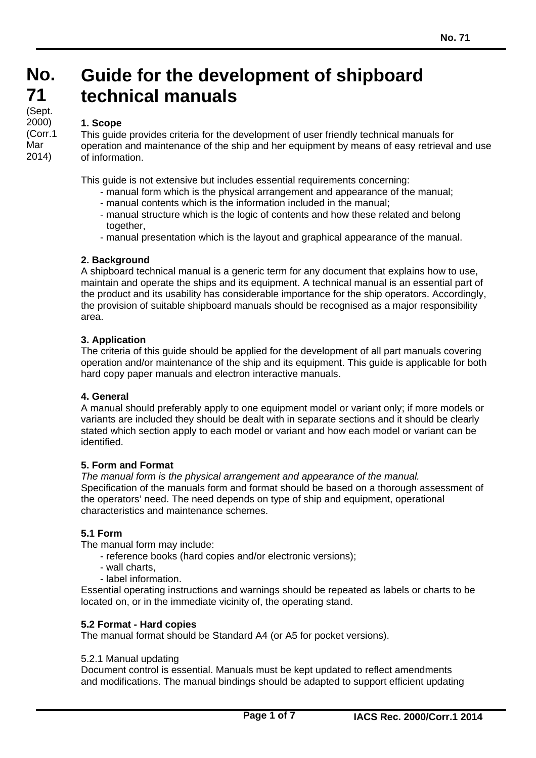# **No. No. Guide for the development of shipboard technical manuals**

#### **1. Scope**

This guide provides criteria for the development of user friendly technical manuals for operation and maintenance of the ship and her equipment by means of easy retrieval and use of information.

This guide is not extensive but includes essential requirements concerning:

- manual form which is the physical arrangement and appearance of the manual;
- manual contents which is the information included in the manual;
- manual structure which is the logic of contents and how these related and belong together,
- manual presentation which is the layout and graphical appearance of the manual.

## **2. Background**

A shipboard technical manual is a generic term for any document that explains how to use, maintain and operate the ships and its equipment. A technical manual is an essential part of the product and its usability has considerable importance for the ship operators. Accordingly, the provision of suitable shipboard manuals should be recognised as a major responsibility area.

## **3. Application**

The criteria of this guide should be applied for the development of all part manuals covering operation and/or maintenance of the ship and its equipment. This guide is applicable for both hard copy paper manuals and electron interactive manuals.

## **4. General**

A manual should preferably apply to one equipment model or variant only; if more models or variants are included they should be dealt with in separate sections and it should be clearly stated which section apply to each model or variant and how each model or variant can be identified.

## **5. Form and Format**

*The manual form is the physical arrangement and appearance of the manual.*  Specification of the manuals form and format should be based on a thorough assessment of the operators' need. The need depends on type of ship and equipment, operational characteristics and maintenance schemes.

## **5.1 Form**

The manual form may include:

- reference books (hard copies and/or electronic versions);
- wall charts,
- label information.

Essential operating instructions and warnings should be repeated as labels or charts to be located on, or in the immediate vicinity of, the operating stand.

## **5.2 Format - Hard copies**

The manual format should be Standard A4 (or A5 for pocket versions).

## 5.2.1 Manual updating

Document control is essential. Manuals must be kept updated to reflect amendments and modifications. The manual bindings should be adapted to support efficient updating

**71 71**  (Sept.) 2000) (Corr.1 Mar 2014)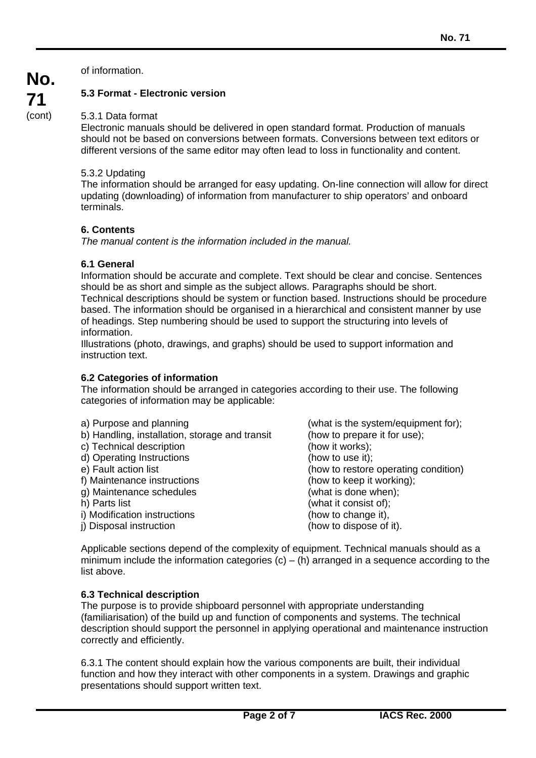of information.

**No.** 

**71**  (cont)

# **5.3 Format - Electronic version**

## 5.3.1 Data format

Electronic manuals should be delivered in open standard format. Production of manuals should not be based on conversions between formats. Conversions between text editors or different versions of the same editor may often lead to loss in functionality and content.

## 5.3.2 Updating

The information should be arranged for easy updating. On-line connection will allow for direct updating (downloading) of information from manufacturer to ship operators' and onboard terminals.

# **6. Contents**

*The manual content is the information included in the manual.* 

# **6.1 General**

Information should be accurate and complete. Text should be clear and concise. Sentences should be as short and simple as the subject allows. Paragraphs should be short. Technical descriptions should be system or function based. Instructions should be procedure based. The information should be organised in a hierarchical and consistent manner by use of headings. Step numbering should be used to support the structuring into levels of information.

Illustrations (photo, drawings, and graphs) should be used to support information and instruction text.

# **6.2 Categories of information**

The information should be arranged in categories according to their use. The following categories of information may be applicable:

| a) Purpose and planning                        | (what is the system/equipment for);  |
|------------------------------------------------|--------------------------------------|
|                                                |                                      |
| b) Handling, installation, storage and transit | (how to prepare it for use);         |
| c) Technical description                       | (how it works);                      |
| d) Operating Instructions                      | (how to use it);                     |
| e) Fault action list                           | (how to restore operating condition) |
| f) Maintenance instructions                    | (how to keep it working);            |
| g) Maintenance schedules                       | (what is done when);                 |
| h) Parts list                                  | (what it consist of);                |
| i) Modification instructions                   | (how to change it),                  |
| j) Disposal instruction                        | (how to dispose of it).              |

Applicable sections depend of the complexity of equipment. Technical manuals should as a minimum include the information categories  $(c) - (h)$  arranged in a sequence according to the list above.

# **6.3 Technical description**

 $\overline{a}$ 

The purpose is to provide shipboard personnel with appropriate understanding (familiarisation) of the build up and function of components and systems. The technical description should support the personnel in applying operational and maintenance instruction correctly and efficiently.

6.3.1 The content should explain how the various components are built, their individual function and how they interact with other components in a system. Drawings and graphic presentations should support written text.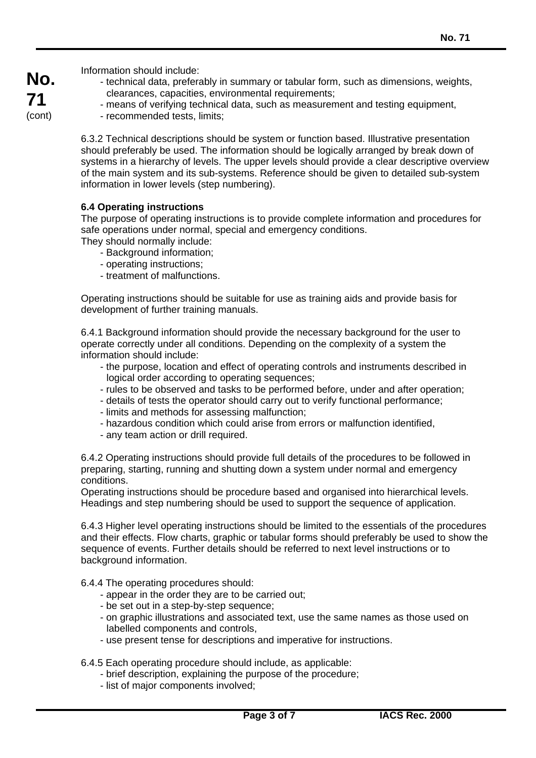**No. 71**  (cont)

Information should include:

- technical data, preferably in summary or tabular form, such as dimensions, weights, clearances, capacities, environmental requirements;
- means of verifying technical data, such as measurement and testing equipment,
- recommended tests, limits;

6.3.2 Technical descriptions should be system or function based. Illustrative presentation should preferably be used. The information should be logically arranged by break down of systems in a hierarchy of levels. The upper levels should provide a clear descriptive overview of the main system and its sub-systems. Reference should be given to detailed sub-system information in lower levels (step numbering).

## **6.4 Operating instructions**

The purpose of operating instructions is to provide complete information and procedures for safe operations under normal, special and emergency conditions.

They should normally include:

- Background information;
- operating instructions;
- treatment of malfunctions.

Operating instructions should be suitable for use as training aids and provide basis for development of further training manuals.

6.4.1 Background information should provide the necessary background for the user to operate correctly under all conditions. Depending on the complexity of a system the information should include:

- the purpose, location and effect of operating controls and instruments described in logical order according to operating sequences;
- rules to be observed and tasks to be performed before, under and after operation;
- details of tests the operator should carry out to verify functional performance;
- limits and methods for assessing malfunction;
- hazardous condition which could arise from errors or malfunction identified,
- any team action or drill required.

6.4.2 Operating instructions should provide full details of the procedures to be followed in preparing, starting, running and shutting down a system under normal and emergency conditions.

Operating instructions should be procedure based and organised into hierarchical levels. Headings and step numbering should be used to support the sequence of application.

6.4.3 Higher level operating instructions should be limited to the essentials of the procedures and their effects. Flow charts, graphic or tabular forms should preferably be used to show the sequence of events. Further details should be referred to next level instructions or to background information.

- 6.4.4 The operating procedures should:
	- appear in the order they are to be carried out;
	- be set out in a step-by-step sequence;
	- on graphic illustrations and associated text, use the same names as those used on labelled components and controls,
	- use present tense for descriptions and imperative for instructions.
- 6.4.5 Each operating procedure should include, as applicable:
	- brief description, explaining the purpose of the procedure;
	- list of major components involved;

 $\overline{a}$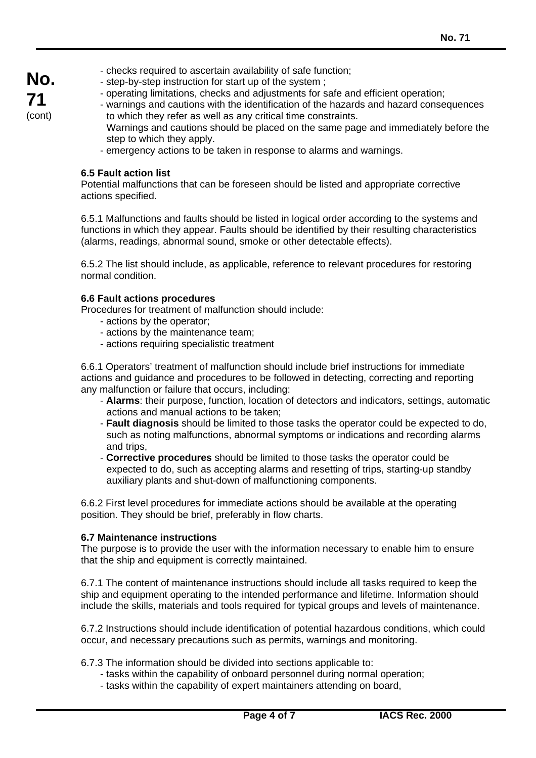**No. 71** 

(cont)

- checks required to ascertain availability of safe function;
- step-by-step instruction for start up of the system ;
- operating limitations, checks and adjustments for safe and efficient operation;
- warnings and cautions with the identification of the hazards and hazard consequences to which they refer as well as any critical time constraints.
	- Warnings and cautions should be placed on the same page and immediately before the step to which they apply.
- emergency actions to be taken in response to alarms and warnings.

## **6.5 Fault action list**

Potential malfunctions that can be foreseen should be listed and appropriate corrective actions specified.

6.5.1 Malfunctions and faults should be listed in logical order according to the systems and functions in which they appear. Faults should be identified by their resulting characteristics (alarms, readings, abnormal sound, smoke or other detectable effects).

6.5.2 The list should include, as applicable, reference to relevant procedures for restoring normal condition.

## **6.6 Fault actions procedures**

Procedures for treatment of malfunction should include:

- actions by the operator;
- actions by the maintenance team;
- actions requiring specialistic treatment

6.6.1 Operators' treatment of malfunction should include brief instructions for immediate actions and guidance and procedures to be followed in detecting, correcting and reporting any malfunction or failure that occurs, including:

- **Alarms**: their purpose, function, location of detectors and indicators, settings, automatic actions and manual actions to be taken;
- **Fault diagnosis** should be limited to those tasks the operator could be expected to do, such as noting malfunctions, abnormal symptoms or indications and recording alarms and trips,
- **Corrective procedures** should be limited to those tasks the operator could be expected to do, such as accepting alarms and resetting of trips, starting-up standby auxiliary plants and shut-down of malfunctioning components.

6.6.2 First level procedures for immediate actions should be available at the operating position. They should be brief, preferably in flow charts.

## **6.7 Maintenance instructions**

 $\overline{a}$ 

The purpose is to provide the user with the information necessary to enable him to ensure that the ship and equipment is correctly maintained.

6.7.1 The content of maintenance instructions should include all tasks required to keep the ship and equipment operating to the intended performance and lifetime. Information should include the skills, materials and tools required for typical groups and levels of maintenance.

6.7.2 Instructions should include identification of potential hazardous conditions, which could occur, and necessary precautions such as permits, warnings and monitoring.

- 6.7.3 The information should be divided into sections applicable to:
	- tasks within the capability of onboard personnel during normal operation;
	- tasks within the capability of expert maintainers attending on board,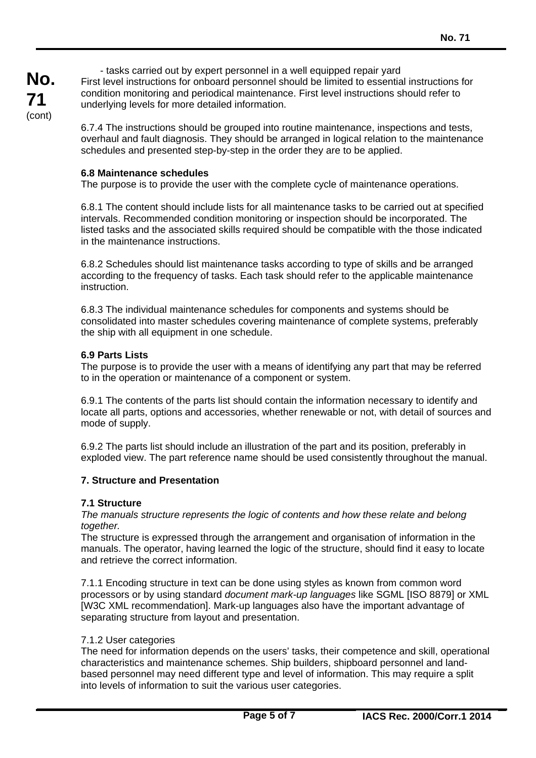- tasks carried out by expert personnel in a well equipped repair yard First level instructions for onboard personnel should be limited to essential instructions for condition monitoring and periodical maintenance. First level instructions should refer to underlying levels for more detailed information.

6.7.4 The instructions should be grouped into routine maintenance, inspections and tests, overhaul and fault diagnosis. They should be arranged in logical relation to the maintenance schedules and presented step-by-step in the order they are to be applied.

## **6.8 Maintenance schedules**

The purpose is to provide the user with the complete cycle of maintenance operations.

6.8.1 The content should include lists for all maintenance tasks to be carried out at specified intervals. Recommended condition monitoring or inspection should be incorporated. The listed tasks and the associated skills required should be compatible with the those indicated in the maintenance instructions.

6.8.2 Schedules should list maintenance tasks according to type of skills and be arranged according to the frequency of tasks. Each task should refer to the applicable maintenance instruction.

6.8.3 The individual maintenance schedules for components and systems should be consolidated into master schedules covering maintenance of complete systems, preferably the ship with all equipment in one schedule.

## **6.9 Parts Lists**

The purpose is to provide the user with a means of identifying any part that may be referred to in the operation or maintenance of a component or system.

6.9.1 The contents of the parts list should contain the information necessary to identify and locate all parts, options and accessories, whether renewable or not, with detail of sources and mode of supply.

6.9.2 The parts list should include an illustration of the part and its position, preferably in exploded view. The part reference name should be used consistently throughout the manual.

## **7. Structure and Presentation**

## **7.1 Structure**

*The manuals structure represents the logic of contents and how these relate and belong together.* 

The structure is expressed through the arrangement and organisation of information in the manuals. The operator, having learned the logic of the structure, should find it easy to locate and retrieve the correct information.

7.1.1 Encoding structure in text can be done using styles as known from common word processors or by using standard *document mark-up languages* like SGML [ISO 8879] or XML [W3C XML recommendation]. Mark-up languages also have the important advantage of separating structure from layout and presentation.

## 7.1.2 User categories

 $\overline{a}$ 

The need for information depends on the users' tasks, their competence and skill, operational characteristics and maintenance schemes. Ship builders, shipboard personnel and landbased personnel may need different type and level of information. This may require a split into levels of information to suit the various user categories.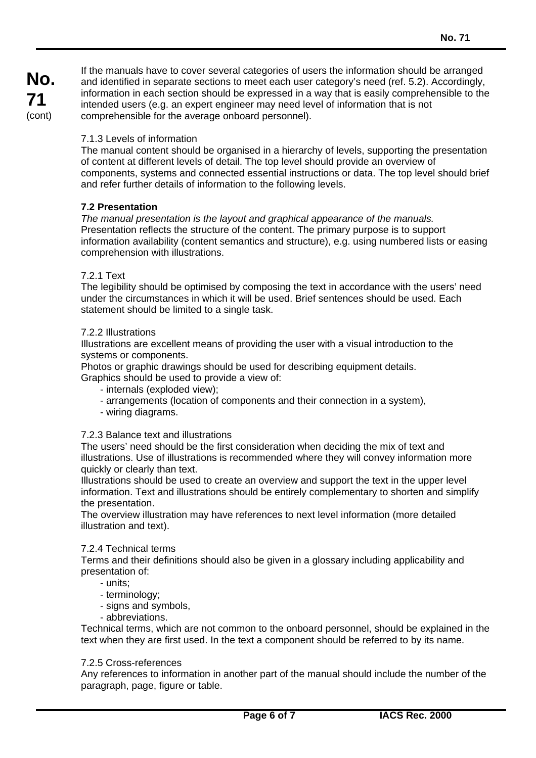**No. 71**  (cont)

If the manuals have to cover several categories of users the information should be arranged and identified in separate sections to meet each user category's need (ref. 5.2). Accordingly, information in each section should be expressed in a way that is easily comprehensible to the intended users (e.g. an expert engineer may need level of information that is not comprehensible for the average onboard personnel).

## 7.1.3 Levels of information

The manual content should be organised in a hierarchy of levels, supporting the presentation of content at different levels of detail. The top level should provide an overview of components, systems and connected essential instructions or data. The top level should brief and refer further details of information to the following levels.

## **7.2 Presentation**

*The manual presentation is the layout and graphical appearance of the manuals.*  Presentation reflects the structure of the content. The primary purpose is to support information availability (content semantics and structure), e.g. using numbered lists or easing comprehension with illustrations.

## 7.2.1 Text

The legibility should be optimised by composing the text in accordance with the users' need under the circumstances in which it will be used. Brief sentences should be used. Each statement should be limited to a single task.

## 7.2.2 Illustrations

Illustrations are excellent means of providing the user with a visual introduction to the systems or components.

Photos or graphic drawings should be used for describing equipment details.

Graphics should be used to provide a view of:

- internals (exploded view);
- arrangements (location of components and their connection in a system),
- wiring diagrams.

## 7.2.3 Balance text and illustrations

The users' need should be the first consideration when deciding the mix of text and illustrations. Use of illustrations is recommended where they will convey information more quickly or clearly than text.

Illustrations should be used to create an overview and support the text in the upper level information. Text and illustrations should be entirely complementary to shorten and simplify the presentation.

The overview illustration may have references to next level information (more detailed illustration and text).

## 7.2.4 Technical terms

Terms and their definitions should also be given in a glossary including applicability and presentation of:

- units;
- terminology;
- signs and symbols,
- abbreviations.

Technical terms, which are not common to the onboard personnel, should be explained in the text when they are first used. In the text a component should be referred to by its name.

## 7.2.5 Cross-references

 $\overline{a}$ 

Any references to information in another part of the manual should include the number of the paragraph, page, figure or table.